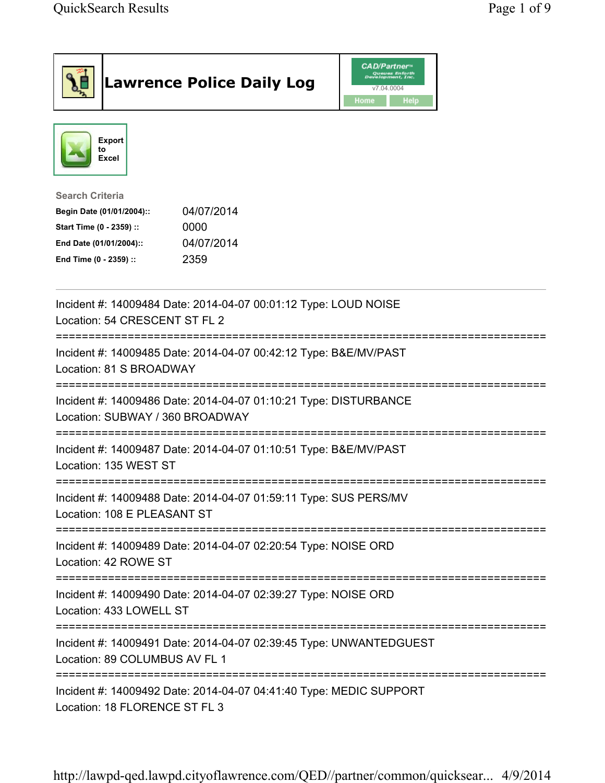| <b>Lawrence Police Daily Log</b>                                                                                                                                                 | <i><b>CAD/Partner</b></i><br>Queues Enforth<br>Development, Inc.<br>v7.04.0004<br>Home<br><b>Help</b> |  |
|----------------------------------------------------------------------------------------------------------------------------------------------------------------------------------|-------------------------------------------------------------------------------------------------------|--|
| Export<br>to<br>Excel                                                                                                                                                            |                                                                                                       |  |
| <b>Search Criteria</b><br>04/07/2014<br>Begin Date (01/01/2004)::<br>Start Time (0 - 2359) ::<br>0000<br>04/07/2014<br>End Date (01/01/2004)::<br>2359<br>End Time (0 - 2359) :: |                                                                                                       |  |
| Incident #: 14009484 Date: 2014-04-07 00:01:12 Type: LOUD NOISE<br>Location: 54 CRESCENT ST FL 2                                                                                 |                                                                                                       |  |
| Incident #: 14009485 Date: 2014-04-07 00:42:12 Type: B&E/MV/PAST<br>Location: 81 S BROADWAY                                                                                      |                                                                                                       |  |
| Incident #: 14009486 Date: 2014-04-07 01:10:21 Type: DISTURBANCE<br>Location: SUBWAY / 360 BROADWAY                                                                              |                                                                                                       |  |
| Incident #: 14009487 Date: 2014-04-07 01:10:51 Type: B&E/MV/PAST<br>Location: 135 WEST ST                                                                                        |                                                                                                       |  |
| Incident #: 14009488 Date: 2014-04-07 01:59:11 Type: SUS PERS/MV<br>Location: 108 E PLEASANT ST                                                                                  |                                                                                                       |  |
| Incident #: 14009489 Date: 2014-04-07 02:20:54 Type: NOISE ORD<br>Location: 42 ROWE ST                                                                                           |                                                                                                       |  |
| Incident #: 14009490 Date: 2014-04-07 02:39:27 Type: NOISE ORD<br>Location: 433 LOWELL ST                                                                                        |                                                                                                       |  |
| Incident #: 14009491 Date: 2014-04-07 02:39:45 Type: UNWANTEDGUEST<br>Location: 89 COLUMBUS AV FL 1                                                                              |                                                                                                       |  |
| Incident #: 14009492 Date: 2014-04-07 04:41:40 Type: MEDIC SUPPORT<br>Location: 18 FLORENCE ST FL 3                                                                              |                                                                                                       |  |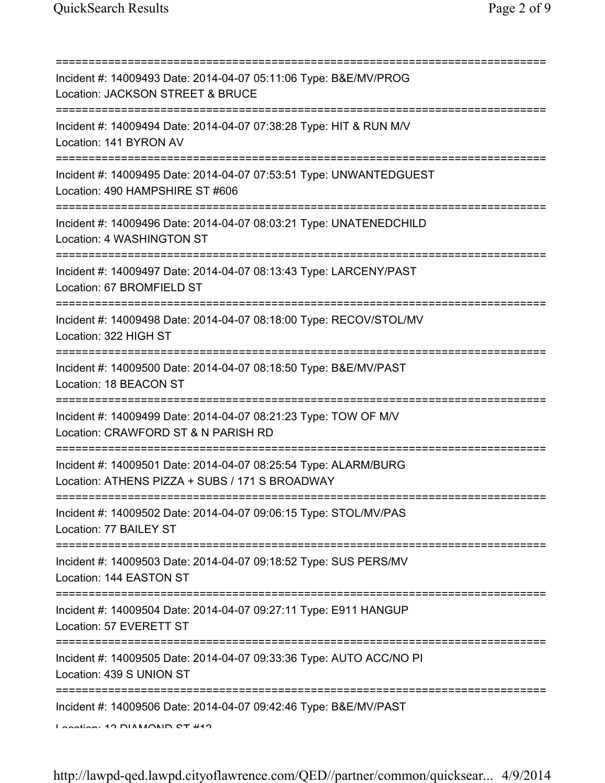| =====================================                                                                             |
|-------------------------------------------------------------------------------------------------------------------|
| Incident #: 14009493 Date: 2014-04-07 05:11:06 Type: B&E/MV/PROG<br>Location: JACKSON STREET & BRUCE              |
| Incident #: 14009494 Date: 2014-04-07 07:38:28 Type: HIT & RUN M/V<br>Location: 141 BYRON AV                      |
| Incident #: 14009495 Date: 2014-04-07 07:53:51 Type: UNWANTEDGUEST<br>Location: 490 HAMPSHIRE ST #606             |
| Incident #: 14009496 Date: 2014-04-07 08:03:21 Type: UNATENEDCHILD<br>Location: 4 WASHINGTON ST                   |
| Incident #: 14009497 Date: 2014-04-07 08:13:43 Type: LARCENY/PAST<br>Location: 67 BROMFIELD ST                    |
| Incident #: 14009498 Date: 2014-04-07 08:18:00 Type: RECOV/STOL/MV<br>Location: 322 HIGH ST                       |
| Incident #: 14009500 Date: 2014-04-07 08:18:50 Type: B&E/MV/PAST<br>Location: 18 BEACON ST                        |
| Incident #: 14009499 Date: 2014-04-07 08:21:23 Type: TOW OF M/V<br>Location: CRAWFORD ST & N PARISH RD            |
| Incident #: 14009501 Date: 2014-04-07 08:25:54 Type: ALARM/BURG<br>Location: ATHENS PIZZA + SUBS / 171 S BROADWAY |
| Incident #: 14009502 Date: 2014-04-07 09:06:15 Type: STOL/MV/PAS<br>Location: 77 BAILEY ST                        |
| Incident #: 14009503 Date: 2014-04-07 09:18:52 Type: SUS PERS/MV<br>Location: 144 EASTON ST                       |
| Incident #: 14009504 Date: 2014-04-07 09:27:11 Type: E911 HANGUP<br>Location: 57 EVERETT ST                       |
| Incident #: 14009505 Date: 2014-04-07 09:33:36 Type: AUTO ACC/NO PI<br>Location: 439 S UNION ST                   |
| Incident #: 14009506 Date: 2014-04-07 09:42:46 Type: B&E/MV/PAST<br>In addition 49 DIAMAND 0T 449                 |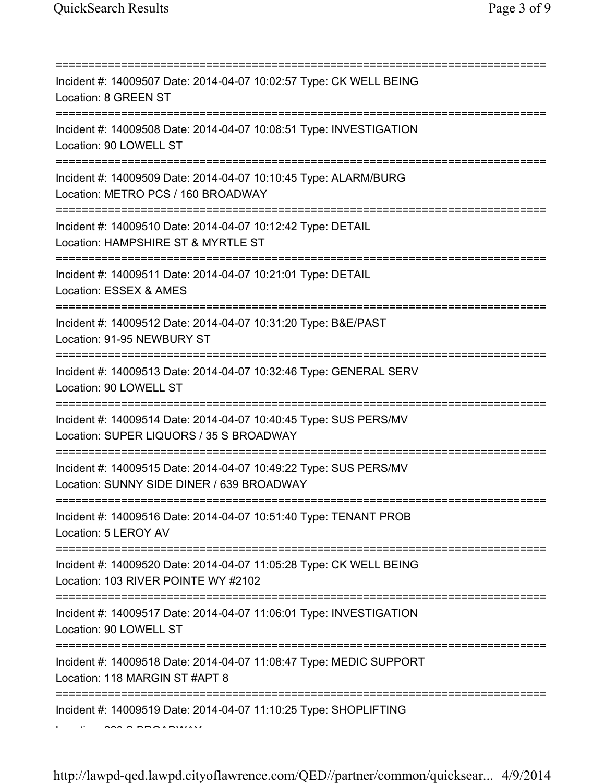| Incident #: 14009507 Date: 2014-04-07 10:02:57 Type: CK WELL BEING<br>Location: 8 GREEN ST                                          |
|-------------------------------------------------------------------------------------------------------------------------------------|
| Incident #: 14009508 Date: 2014-04-07 10:08:51 Type: INVESTIGATION<br>Location: 90 LOWELL ST                                        |
| Incident #: 14009509 Date: 2014-04-07 10:10:45 Type: ALARM/BURG<br>Location: METRO PCS / 160 BROADWAY<br>========================   |
| Incident #: 14009510 Date: 2014-04-07 10:12:42 Type: DETAIL<br>Location: HAMPSHIRE ST & MYRTLE ST                                   |
| Incident #: 14009511 Date: 2014-04-07 10:21:01 Type: DETAIL<br>Location: ESSEX & AMES<br>=====================================      |
| Incident #: 14009512 Date: 2014-04-07 10:31:20 Type: B&E/PAST<br>Location: 91-95 NEWBURY ST<br>==================================== |
| Incident #: 14009513 Date: 2014-04-07 10:32:46 Type: GENERAL SERV<br>Location: 90 LOWELL ST                                         |
| Incident #: 14009514 Date: 2014-04-07 10:40:45 Type: SUS PERS/MV<br>Location: SUPER LIQUORS / 35 S BROADWAY                         |
| Incident #: 14009515 Date: 2014-04-07 10:49:22 Type: SUS PERS/MV<br>Location: SUNNY SIDE DINER / 639 BROADWAY                       |
| Incident #: 14009516 Date: 2014-04-07 10:51:40 Type: TENANT PROB<br>Location: 5 LEROY AV                                            |
| Incident #: 14009520 Date: 2014-04-07 11:05:28 Type: CK WELL BEING<br>Location: 103 RIVER POINTE WY #2102                           |
| Incident #: 14009517 Date: 2014-04-07 11:06:01 Type: INVESTIGATION<br>Location: 90 LOWELL ST                                        |
| Incident #: 14009518 Date: 2014-04-07 11:08:47 Type: MEDIC SUPPORT<br>Location: 118 MARGIN ST #APT 8                                |
| Incident #: 14009519 Date: 2014-04-07 11:10:25 Type: SHOPLIFTING                                                                    |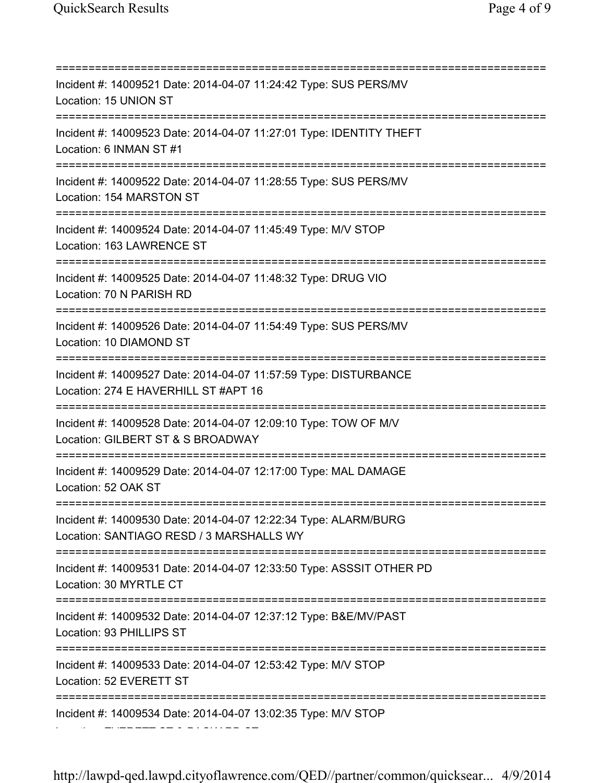=========================================================================== Incident #: 14009521 Date: 2014-04-07 11:24:42 Type: SUS PERS/MV Location: 15 UNION ST =========================================================================== Incident #: 14009523 Date: 2014-04-07 11:27:01 Type: IDENTITY THEFT Location: 6 INMAN ST #1 =========================================================================== Incident #: 14009522 Date: 2014-04-07 11:28:55 Type: SUS PERS/MV Location: 154 MARSTON ST =========================================================================== Incident #: 14009524 Date: 2014-04-07 11:45:49 Type: M/V STOP Location: 163 LAWRENCE ST =========================================================================== Incident #: 14009525 Date: 2014-04-07 11:48:32 Type: DRUG VIO Location: 70 N PARISH RD =========================================================================== Incident #: 14009526 Date: 2014-04-07 11:54:49 Type: SUS PERS/MV Location: 10 DIAMOND ST =========================================================================== Incident #: 14009527 Date: 2014-04-07 11:57:59 Type: DISTURBANCE Location: 274 E HAVERHILL ST #APT 16 =========================================================================== Incident #: 14009528 Date: 2014-04-07 12:09:10 Type: TOW OF M/V Location: GILBERT ST & S BROADWAY =========================================================================== Incident #: 14009529 Date: 2014-04-07 12:17:00 Type: MAL DAMAGE Location: 52 OAK ST =========================================================================== Incident #: 14009530 Date: 2014-04-07 12:22:34 Type: ALARM/BURG Location: SANTIAGO RESD / 3 MARSHALLS WY =========================================================================== Incident #: 14009531 Date: 2014-04-07 12:33:50 Type: ASSSIT OTHER PD Location: 30 MYRTLE CT =========================================================================== Incident #: 14009532 Date: 2014-04-07 12:37:12 Type: B&E/MV/PAST Location: 93 PHILLIPS ST =========================================================================== Incident #: 14009533 Date: 2014-04-07 12:53:42 Type: M/V STOP Location: 52 EVERETT ST =========================================================================== Incident #: 14009534 Date: 2014-04-07 13:02:35 Type: M/V STOP Location: EVERETT ST & PACKARD ST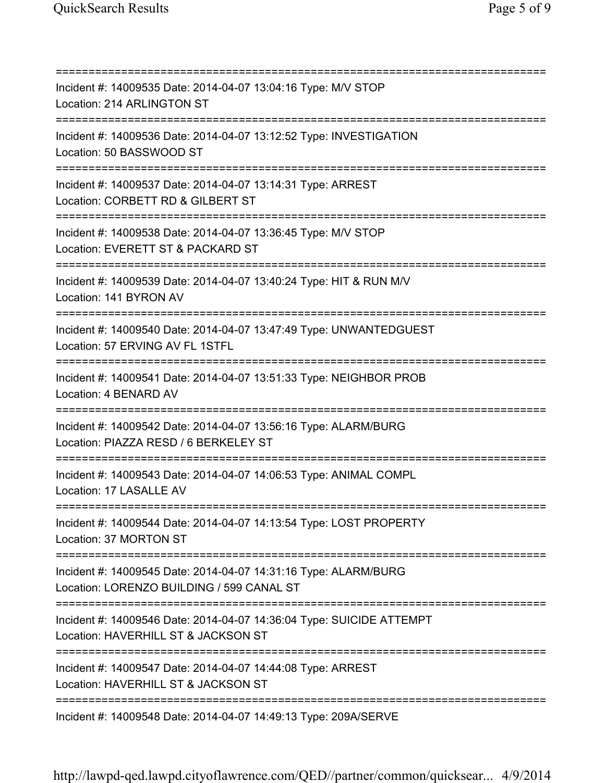=========================================================================== Incident #: 14009535 Date: 2014-04-07 13:04:16 Type: M/V STOP Location: 214 ARLINGTON ST =========================================================================== Incident #: 14009536 Date: 2014-04-07 13:12:52 Type: INVESTIGATION Location: 50 BASSWOOD ST =========================================================================== Incident #: 14009537 Date: 2014-04-07 13:14:31 Type: ARREST Location: CORBETT RD & GILBERT ST =========================================================================== Incident #: 14009538 Date: 2014-04-07 13:36:45 Type: M/V STOP Location: EVERETT ST & PACKARD ST =========================================================================== Incident #: 14009539 Date: 2014-04-07 13:40:24 Type: HIT & RUN M/V Location: 141 BYRON AV =========================================================================== Incident #: 14009540 Date: 2014-04-07 13:47:49 Type: UNWANTEDGUEST Location: 57 ERVING AV FL 1STFL =========================================================================== Incident #: 14009541 Date: 2014-04-07 13:51:33 Type: NEIGHBOR PROB Location: 4 BENARD AV =========================================================================== Incident #: 14009542 Date: 2014-04-07 13:56:16 Type: ALARM/BURG Location: PIAZZA RESD / 6 BERKELEY ST =========================================================================== Incident #: 14009543 Date: 2014-04-07 14:06:53 Type: ANIMAL COMPL Location: 17 LASALLE AV =========================================================================== Incident #: 14009544 Date: 2014-04-07 14:13:54 Type: LOST PROPERTY Location: 37 MORTON ST =========================================================================== Incident #: 14009545 Date: 2014-04-07 14:31:16 Type: ALARM/BURG Location: LORENZO BUILDING / 599 CANAL ST =========================================================================== Incident #: 14009546 Date: 2014-04-07 14:36:04 Type: SUICIDE ATTEMPT Location: HAVERHILL ST & JACKSON ST =========================================================================== Incident #: 14009547 Date: 2014-04-07 14:44:08 Type: ARREST Location: HAVERHILL ST & JACKSON ST =========================================================================== Incident #: 14009548 Date: 2014-04-07 14:49:13 Type: 209A/SERVE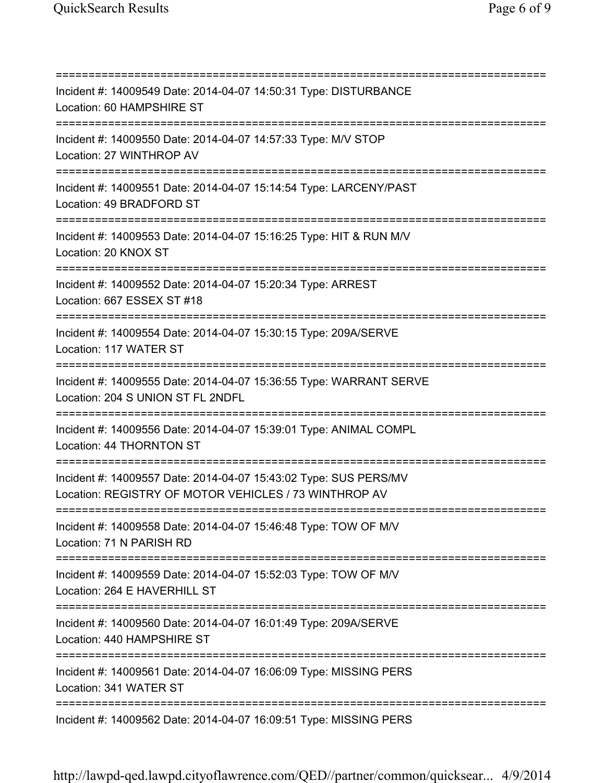=========================================================================== Incident #: 14009549 Date: 2014-04-07 14:50:31 Type: DISTURBANCE Location: 60 HAMPSHIRE ST =========================================================================== Incident #: 14009550 Date: 2014-04-07 14:57:33 Type: M/V STOP Location: 27 WINTHROP AV =========================================================================== Incident #: 14009551 Date: 2014-04-07 15:14:54 Type: LARCENY/PAST Location: 49 BRADFORD ST =========================================================================== Incident #: 14009553 Date: 2014-04-07 15:16:25 Type: HIT & RUN M/V Location: 20 KNOX ST =========================================================================== Incident #: 14009552 Date: 2014-04-07 15:20:34 Type: ARREST Location: 667 ESSEX ST #18 =========================================================================== Incident #: 14009554 Date: 2014-04-07 15:30:15 Type: 209A/SERVE Location: 117 WATER ST =========================================================================== Incident #: 14009555 Date: 2014-04-07 15:36:55 Type: WARRANT SERVE Location: 204 S UNION ST FL 2NDFL =========================================================================== Incident #: 14009556 Date: 2014-04-07 15:39:01 Type: ANIMAL COMPL Location: 44 THORNTON ST =========================================================================== Incident #: 14009557 Date: 2014-04-07 15:43:02 Type: SUS PERS/MV Location: REGISTRY OF MOTOR VEHICLES / 73 WINTHROP AV =========================================================================== Incident #: 14009558 Date: 2014-04-07 15:46:48 Type: TOW OF M/V Location: 71 N PARISH RD =========================================================================== Incident #: 14009559 Date: 2014-04-07 15:52:03 Type: TOW OF M/V Location: 264 E HAVERHILL ST =========================================================================== Incident #: 14009560 Date: 2014-04-07 16:01:49 Type: 209A/SERVE Location: 440 HAMPSHIRE ST =========================================================================== Incident #: 14009561 Date: 2014-04-07 16:06:09 Type: MISSING PERS Location: 341 WATER ST =========================================================================== Incident #: 14009562 Date: 2014-04-07 16:09:51 Type: MISSING PERS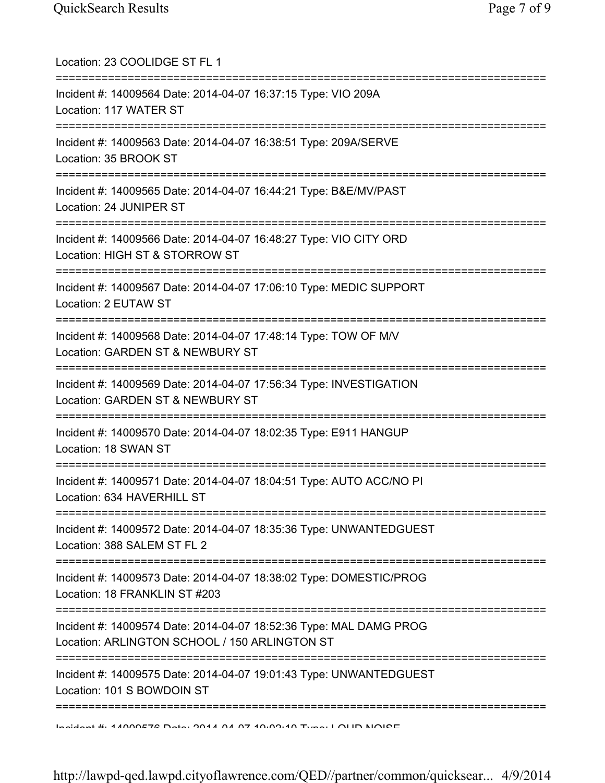| Location: 23 COOLIDGE ST FL 1                                                                                                                                                                                                 |
|-------------------------------------------------------------------------------------------------------------------------------------------------------------------------------------------------------------------------------|
| Incident #: 14009564 Date: 2014-04-07 16:37:15 Type: VIO 209A<br>Location: 117 WATER ST                                                                                                                                       |
| Incident #: 14009563 Date: 2014-04-07 16:38:51 Type: 209A/SERVE<br>Location: 35 BROOK ST<br>===================================                                                                                               |
| Incident #: 14009565 Date: 2014-04-07 16:44:21 Type: B&E/MV/PAST<br>Location: 24 JUNIPER ST                                                                                                                                   |
| Incident #: 14009566 Date: 2014-04-07 16:48:27 Type: VIO CITY ORD<br>Location: HIGH ST & STORROW ST                                                                                                                           |
| ==========<br>Incident #: 14009567 Date: 2014-04-07 17:06:10 Type: MEDIC SUPPORT<br>Location: 2 EUTAW ST                                                                                                                      |
| Incident #: 14009568 Date: 2014-04-07 17:48:14 Type: TOW OF M/V<br>Location: GARDEN ST & NEWBURY ST                                                                                                                           |
| Incident #: 14009569 Date: 2014-04-07 17:56:34 Type: INVESTIGATION<br>Location: GARDEN ST & NEWBURY ST                                                                                                                        |
| Incident #: 14009570 Date: 2014-04-07 18:02:35 Type: E911 HANGUP<br>Location: 18 SWAN ST                                                                                                                                      |
| Incident #: 14009571 Date: 2014-04-07 18:04:51 Type: AUTO ACC/NO PI<br>Location: 634 HAVERHILL ST                                                                                                                             |
| Incident #: 14009572 Date: 2014-04-07 18:35:36 Type: UNWANTEDGUEST<br>Location: 388 SALEM ST FL 2                                                                                                                             |
| Incident #: 14009573 Date: 2014-04-07 18:38:02 Type: DOMESTIC/PROG<br>Location: 18 FRANKLIN ST #203                                                                                                                           |
| Incident #: 14009574 Date: 2014-04-07 18:52:36 Type: MAL DAMG PROG<br>Location: ARLINGTON SCHOOL / 150 ARLINGTON ST                                                                                                           |
| Incident #: 14009575 Date: 2014-04-07 19:01:43 Type: UNWANTEDGUEST<br>Location: 101 S BOWDOIN ST                                                                                                                              |
| $A$ and $A$ and $B$ and $B$ and $A$ and $B$ and $A$ and $A$ and $A$ and $A$ and $B$ and $B$ and $B$ and $B$ and $B$ and $B$ and $B$ and $B$ and $B$ and $B$ and $B$ and $B$ and $B$ and $B$ and $B$ and $B$ and $B$ and $B$ a |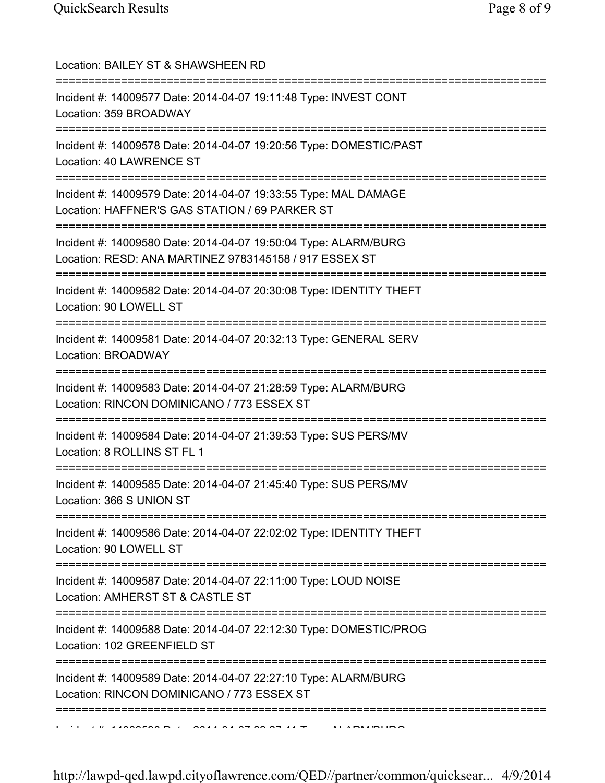| Location: BAILEY ST & SHAWSHEEN RD<br>====================================                                                                            |
|-------------------------------------------------------------------------------------------------------------------------------------------------------|
| Incident #: 14009577 Date: 2014-04-07 19:11:48 Type: INVEST CONT<br>Location: 359 BROADWAY<br>=====================================                   |
| Incident #: 14009578 Date: 2014-04-07 19:20:56 Type: DOMESTIC/PAST<br>Location: 40 LAWRENCE ST                                                        |
| Incident #: 14009579 Date: 2014-04-07 19:33:55 Type: MAL DAMAGE<br>Location: HAFFNER'S GAS STATION / 69 PARKER ST<br>-------------------------------- |
| Incident #: 14009580 Date: 2014-04-07 19:50:04 Type: ALARM/BURG<br>Location: RESD: ANA MARTINEZ 9783145158 / 917 ESSEX ST                             |
| Incident #: 14009582 Date: 2014-04-07 20:30:08 Type: IDENTITY THEFT<br>Location: 90 LOWELL ST                                                         |
| Incident #: 14009581 Date: 2014-04-07 20:32:13 Type: GENERAL SERV<br>Location: BROADWAY<br>-----------------------                                    |
| Incident #: 14009583 Date: 2014-04-07 21:28:59 Type: ALARM/BURG<br>Location: RINCON DOMINICANO / 773 ESSEX ST<br>;==============================      |
| Incident #: 14009584 Date: 2014-04-07 21:39:53 Type: SUS PERS/MV<br>Location: 8 ROLLINS ST FL 1                                                       |
| Incident #: 14009585 Date: 2014-04-07 21:45:40 Type: SUS PERS/MV<br>Location: 366 S UNION ST                                                          |
| Incident #: 14009586 Date: 2014-04-07 22:02:02 Type: IDENTITY THEFT<br>Location: 90 LOWELL ST                                                         |
| ;==================================<br>Incident #: 14009587 Date: 2014-04-07 22:11:00 Type: LOUD NOISE<br>Location: AMHERST ST & CASTLE ST            |
| Incident #: 14009588 Date: 2014-04-07 22:12:30 Type: DOMESTIC/PROG<br>Location: 102 GREENFIELD ST                                                     |
| =========<br>Incident #: 14009589 Date: 2014-04-07 22:27:10 Type: ALARM/BURG<br>Location: RINCON DOMINICANO / 773 ESSEX ST                            |
|                                                                                                                                                       |